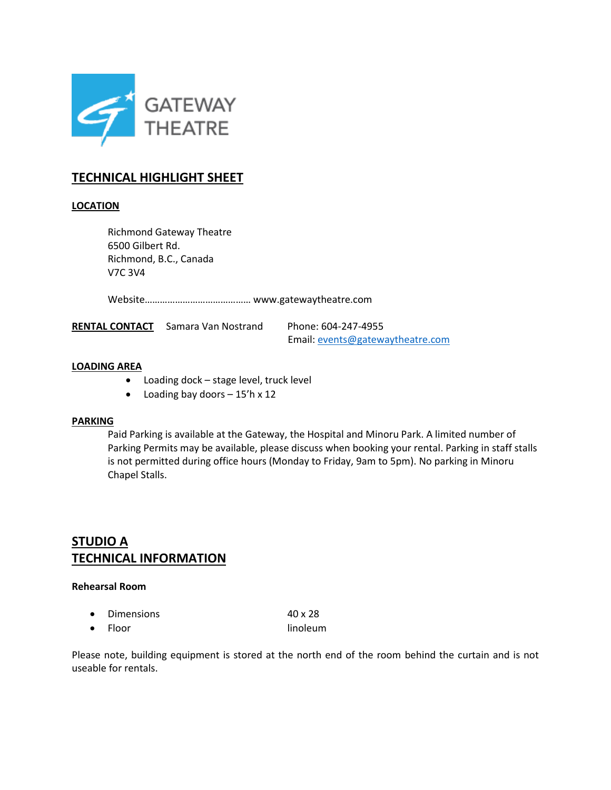

# **TECHNICAL HIGHLIGHT SHEET**

## **LOCATION**

Richmond Gateway Theatre 6500 Gilbert Rd. Richmond, B.C., Canada V7C 3V4

Website…………………………………… www.gatewaytheatre.com

RENTAL CONTACT Samara Van Nostrand Phone: 604-247-4955

Email: [events@gatewaytheatre.com](mailto:events@gatewaytheatre.com)

#### **LOADING AREA**

- Loading dock stage level, truck level
- $\bullet$  Loading bay doors 15'h x 12

#### **PARKING**

Paid Parking is available at the Gateway, the Hospital and Minoru Park. A limited number of Parking Permits may be available, please discuss when booking your rental. Parking in staff stalls is not permitted during office hours (Monday to Friday, 9am to 5pm). No parking in Minoru Chapel Stalls.

# **STUDIO A TECHNICAL INFORMATION**

#### **Rehearsal Room**

| • Dimensions    | $40 \times 28$ |
|-----------------|----------------|
| $\bullet$ Floor | linoleum       |

Please note, building equipment is stored at the north end of the room behind the curtain and is not useable for rentals.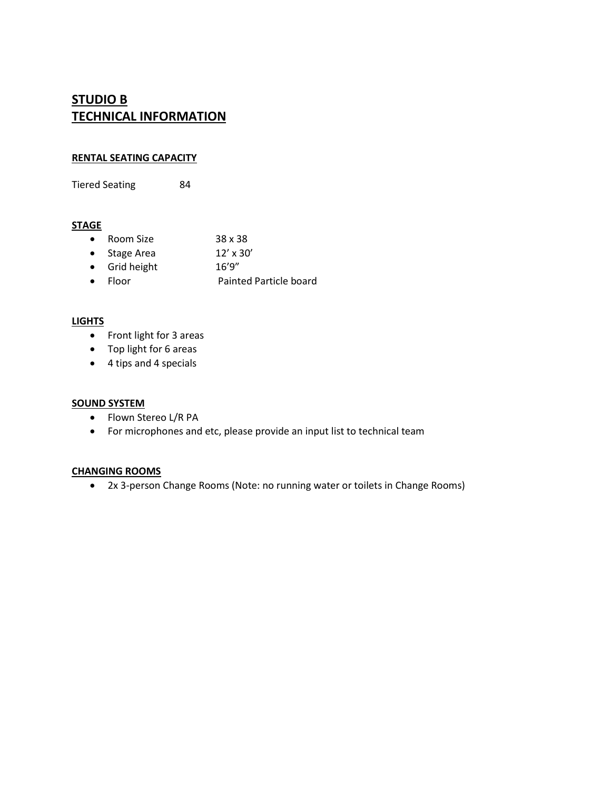# **STUDIO B TECHNICAL INFORMATION**

## **RENTAL SEATING CAPACITY**

Tiered Seating 84

## **STAGE**

| $\bullet$ Room Size  | 38 x 38          |
|----------------------|------------------|
| $\bullet$ Stage Area | $12' \times 30'$ |
| • Grid height        | 16'9''           |
|                      |                  |

Floor Painted Particle board

## **LIGHTS**

- Front light for 3 areas
- Top light for 6 areas
- 4 tips and 4 specials

## **SOUND SYSTEM**

- Flown Stereo L/R PA
- For microphones and etc, please provide an input list to technical team

## **CHANGING ROOMS**

2x 3-person Change Rooms (Note: no running water or toilets in Change Rooms)